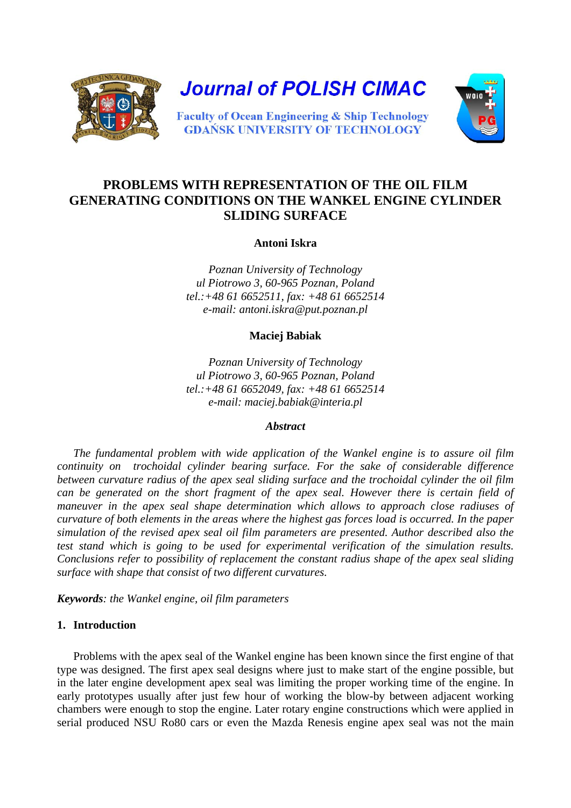

# **PROBLEMS WITH REPRESENTATION OF THE OIL FILM GENERATING CONDITIONS ON THE WANKEL ENGINE CYLINDER SLIDING SURFACE**

**Antoni Iskra**

*Poznan University of Technology ul Piotrowo 3, 60-965 Poznan, Poland tel.:+48 61 6652511, fax: +48 61 6652514 e-mail: antoni.iskra@put.poznan.pl* 

**Maciej Babiak** 

*Poznan University of Technology ul Piotrowo 3, 60-965 Poznan, Poland tel.:+48 61 6652049, fax: +48 61 6652514 e-mail: maciej.babiak@interia.pl* 

### *Abstract*

*The fundamental problem with wide application of the Wankel engine is to assure oil film continuity on trochoidal cylinder bearing surface. For the sake of considerable difference between curvature radius of the apex seal sliding surface and the trochoidal cylinder the oil film can be generated on the short fragment of the apex seal. However there is certain field of maneuver in the apex seal shape determination which allows to approach close radiuses of curvature of both elements in the areas where the highest gas forces load is occurred. In the paper simulation of the revised apex seal oil film parameters are presented. Author described also the test stand which is going to be used for experimental verification of the simulation results. Conclusions refer to possibility of replacement the constant radius shape of the apex seal sliding surface with shape that consist of two different curvatures.* 

*Keywords: the Wankel engine, oil film parameters* 

### **1. Introduction**

Problems with the apex seal of the Wankel engine has been known since the first engine of that type was designed. The first apex seal designs where just to make start of the engine possible, but in the later engine development apex seal was limiting the proper working time of the engine. In early prototypes usually after just few hour of working the blow-by between adjacent working chambers were enough to stop the engine. Later rotary engine constructions which were applied in serial produced NSU Ro80 cars or even the Mazda Renesis engine apex seal was not the main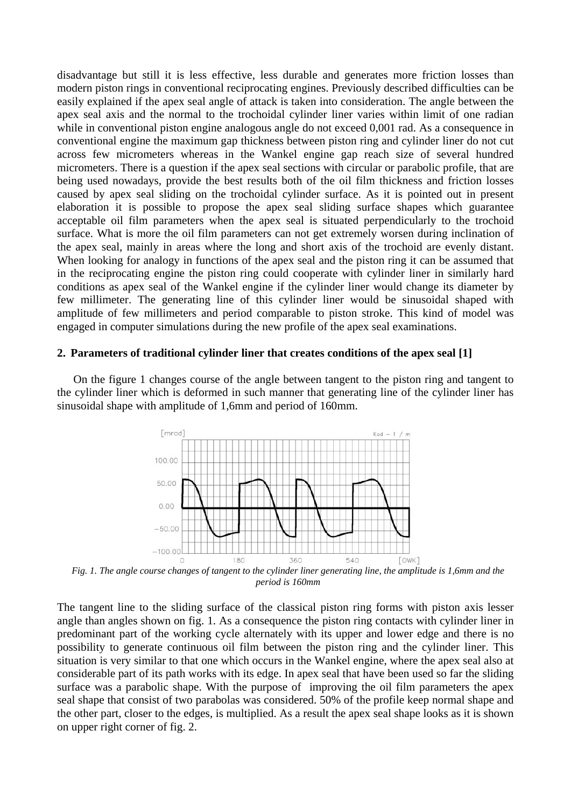disadvantage but still it is less effective, less durable and generates more friction losses than modern piston rings in conventional reciprocating engines. Previously described difficulties can be easily explained if the apex seal angle of attack is taken into consideration. The angle between the apex seal axis and the normal to the trochoidal cylinder liner varies within limit of one radian while in conventional piston engine analogous angle do not exceed 0,001 rad. As a consequence in conventional engine the maximum gap thickness between piston ring and cylinder liner do not cut across few micrometers whereas in the Wankel engine gap reach size of several hundred micrometers. There is a question if the apex seal sections with circular or parabolic profile, that are being used nowadays, provide the best results both of the oil film thickness and friction losses caused by apex seal sliding on the trochoidal cylinder surface. As it is pointed out in present elaboration it is possible to propose the apex seal sliding surface shapes which guarantee acceptable oil film parameters when the apex seal is situated perpendicularly to the trochoid surface. What is more the oil film parameters can not get extremely worsen during inclination of the apex seal, mainly in areas where the long and short axis of the trochoid are evenly distant. When looking for analogy in functions of the apex seal and the piston ring it can be assumed that in the reciprocating engine the piston ring could cooperate with cylinder liner in similarly hard conditions as apex seal of the Wankel engine if the cylinder liner would change its diameter by few millimeter. The generating line of this cylinder liner would be sinusoidal shaped with amplitude of few millimeters and period comparable to piston stroke. This kind of model was engaged in computer simulations during the new profile of the apex seal examinations.

#### **2. Parameters of traditional cylinder liner that creates conditions of the apex seal [1]**

On the figure 1 changes course of the angle between tangent to the piston ring and tangent to the cylinder liner which is deformed in such manner that generating line of the cylinder liner has sinusoidal shape with amplitude of 1,6mm and period of 160mm.



*Fig. 1. The angle course changes of tangent to the cylinder liner generating line, the amplitude is 1,6mm and the period is 160mm*

The tangent line to the sliding surface of the classical piston ring forms with piston axis lesser angle than angles shown on fig. 1. As a consequence the piston ring contacts with cylinder liner in predominant part of the working cycle alternately with its upper and lower edge and there is no possibility to generate continuous oil film between the piston ring and the cylinder liner. This situation is very similar to that one which occurs in the Wankel engine, where the apex seal also at considerable part of its path works with its edge. In apex seal that have been used so far the sliding surface was a parabolic shape. With the purpose of improving the oil film parameters the apex seal shape that consist of two parabolas was considered. 50% of the profile keep normal shape and the other part, closer to the edges, is multiplied. As a result the apex seal shape looks as it is shown on upper right corner of fig. 2.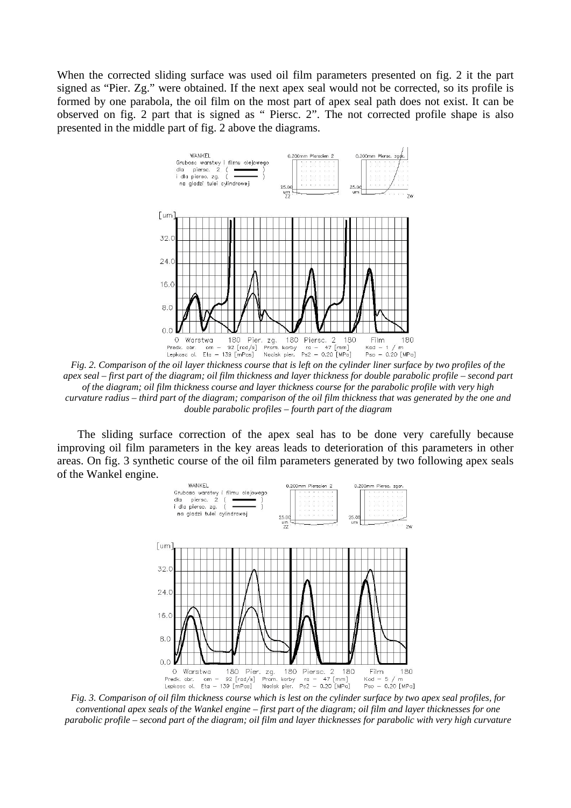When the corrected sliding surface was used oil film parameters presented on fig. 2 it the part signed as "Pier. Zg." were obtained. If the next apex seal would not be corrected, so its profile is formed by one parabola, the oil film on the most part of apex seal path does not exist. It can be observed on fig. 2 part that is signed as " Piersc. 2". The not corrected profile shape is also presented in the middle part of fig. 2 above the diagrams.



*Fig. 2. Comparison of the oil layer thickness course that is left on the cylinder liner surface by two profiles of the apex seal – first part of the diagram; oil film thickness and layer thickness for double parabolic profile – second part of the diagram; oil film thickness course and layer thickness course for the parabolic profile with very high curvature radius – third part of the diagram; comparison of the oil film thickness that was generated by the one and double parabolic profiles – fourth part of the diagram*

 The sliding surface correction of the apex seal has to be done very carefully because improving oil film parameters in the key areas leads to deterioration of this parameters in other areas. On fig. 3 synthetic course of the oil film parameters generated by two following apex seals of the Wankel engine.



*Fig. 3. Comparison of oil film thickness course which is lest on the cylinder surface by two apex seal profiles, for conventional apex seals of the Wankel engine – first part of the diagram; oil film and layer thicknesses for one parabolic profile – second part of the diagram; oil film and layer thicknesses for parabolic with very high curvature*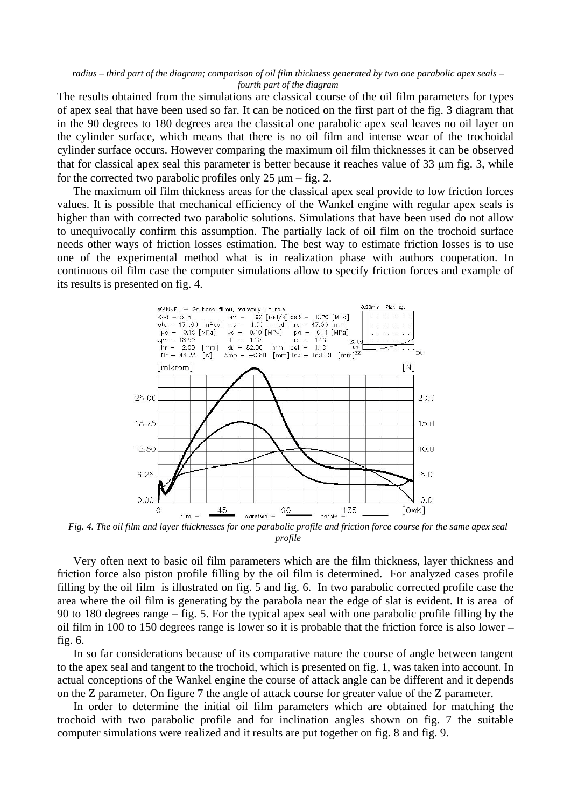*radius – third part of the diagram; comparison of oil film thickness generated by two one parabolic apex seals – fourth part of the diagram*

The results obtained from the simulations are classical course of the oil film parameters for types of apex seal that have been used so far. It can be noticed on the first part of the fig. 3 diagram that in the 90 degrees to 180 degrees area the classical one parabolic apex seal leaves no oil layer on the cylinder surface, which means that there is no oil film and intense wear of the trochoidal cylinder surface occurs. However comparing the maximum oil film thicknesses it can be observed that for classical apex seal this parameter is better because it reaches value of 33 µm fig. 3, while for the corrected two parabolic profiles only  $25 \mu m -$  fig. 2.

The maximum oil film thickness areas for the classical apex seal provide to low friction forces values. It is possible that mechanical efficiency of the Wankel engine with regular apex seals is higher than with corrected two parabolic solutions. Simulations that have been used do not allow to unequivocally confirm this assumption. The partially lack of oil film on the trochoid surface needs other ways of friction losses estimation. The best way to estimate friction losses is to use one of the experimental method what is in realization phase with authors cooperation. In continuous oil film case the computer simulations allow to specify friction forces and example of its results is presented on fig. 4.



*Fig. 4. The oil film and layer thicknesses for one parabolic profile and friction force course for the same apex seal profile*

Very often next to basic oil film parameters which are the film thickness, layer thickness and friction force also piston profile filling by the oil film is determined. For analyzed cases profile filling by the oil film is illustrated on fig. 5 and fig. 6. In two parabolic corrected profile case the area where the oil film is generating by the parabola near the edge of slat is evident. It is area of 90 to 180 degrees range – fig. 5. For the typical apex seal with one parabolic profile filling by the oil film in 100 to 150 degrees range is lower so it is probable that the friction force is also lower – fig. 6.

In so far considerations because of its comparative nature the course of angle between tangent to the apex seal and tangent to the trochoid, which is presented on fig. 1, was taken into account. In actual conceptions of the Wankel engine the course of attack angle can be different and it depends on the Z parameter. On figure 7 the angle of attack course for greater value of the Z parameter.

In order to determine the initial oil film parameters which are obtained for matching the trochoid with two parabolic profile and for inclination angles shown on fig. 7 the suitable computer simulations were realized and it results are put together on fig. 8 and fig. 9.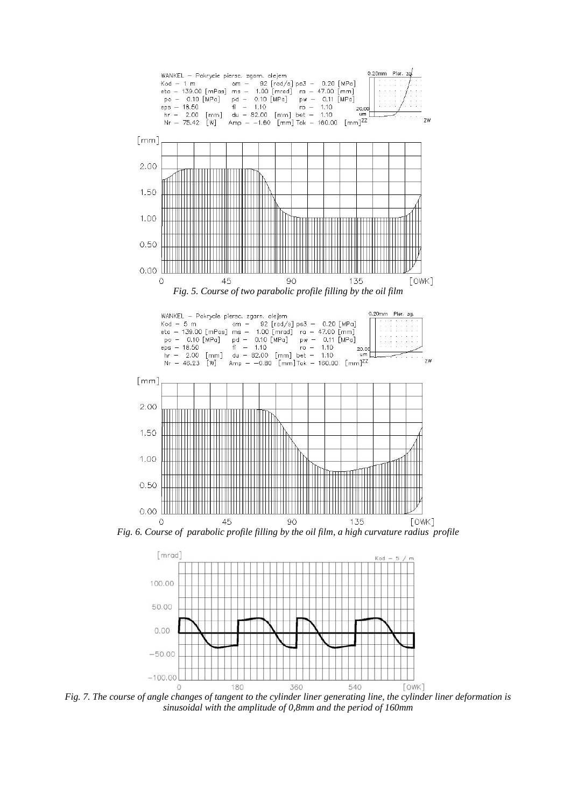



*Fig. 7. The course of angle changes of tangent to the cylinder liner generating line, the cylinder liner deformation is sinusoidal with the amplitude of 0,8mm and the period of 160mm*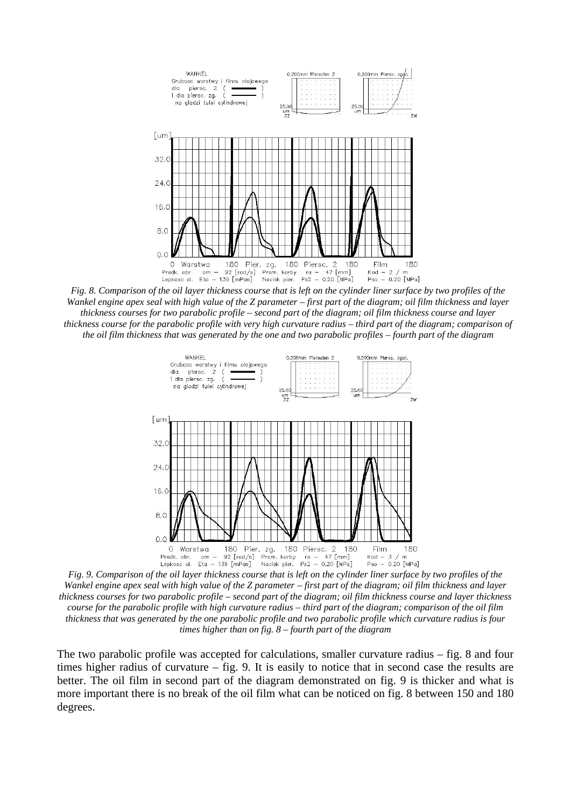

*Fig. 8. Comparison of the oil layer thickness course that is left on the cylinder liner surface by two profiles of the Wankel engine apex seal with high value of the Z parameter – first part of the diagram; oil film thickness and layer thickness courses for two parabolic profile – second part of the diagram; oil film thickness course and layer thickness course for the parabolic profile with very high curvature radius – third part of the diagram; comparison of the oil film thickness that was generated by the one and two parabolic profiles – fourth part of the diagram*



*Fig. 9. Comparison of the oil layer thickness course that is left on the cylinder liner surface by two profiles of the Wankel engine apex seal with high value of the Z parameter – first part of the diagram; oil film thickness and layer thickness courses for two parabolic profile – second part of the diagram; oil film thickness course and layer thickness course for the parabolic profile with high curvature radius – third part of the diagram; comparison of the oil film thickness that was generated by the one parabolic profile and two parabolic profile which curvature radius is four times higher than on fig. 8 – fourth part of the diagram*

The two parabolic profile was accepted for calculations, smaller curvature radius – fig. 8 and four times higher radius of curvature – fig. 9. It is easily to notice that in second case the results are better. The oil film in second part of the diagram demonstrated on fig. 9 is thicker and what is more important there is no break of the oil film what can be noticed on fig. 8 between 150 and 180 degrees.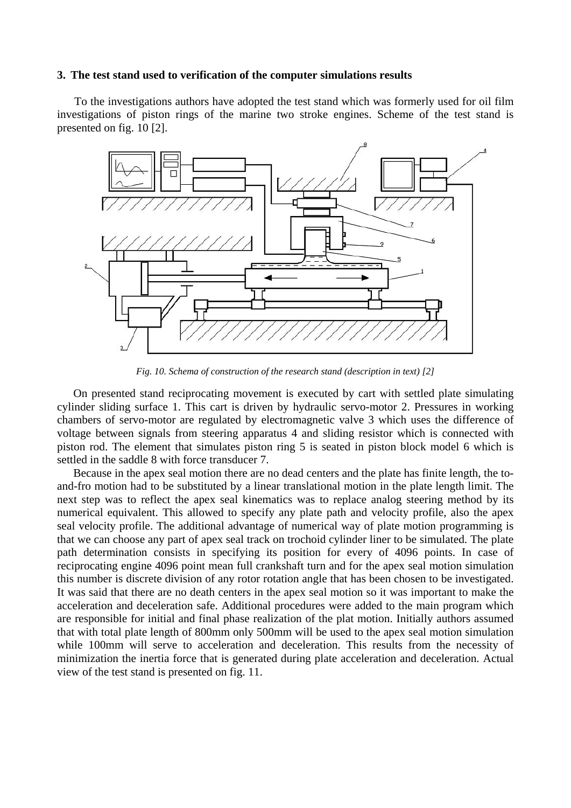### **3. The test stand used to verification of the computer simulations results**

To the investigations authors have adopted the test stand which was formerly used for oil film investigations of piston rings of the marine two stroke engines. Scheme of the test stand is presented on fig. 10 [2].



*Fig. 10. Schema of construction of the research stand (description in text) [2]*

On presented stand reciprocating movement is executed by cart with settled plate simulating cylinder sliding surface 1. This cart is driven by hydraulic servo-motor 2. Pressures in working chambers of servo-motor are regulated by electromagnetic valve 3 which uses the difference of voltage between signals from steering apparatus 4 and sliding resistor which is connected with piston rod. The element that simulates piston ring 5 is seated in piston block model 6 which is settled in the saddle 8 with force transducer 7.

Because in the apex seal motion there are no dead centers and the plate has finite length, the toand-fro motion had to be substituted by a linear translational motion in the plate length limit. The next step was to reflect the apex seal kinematics was to replace analog steering method by its numerical equivalent. This allowed to specify any plate path and velocity profile, also the apex seal velocity profile. The additional advantage of numerical way of plate motion programming is that we can choose any part of apex seal track on trochoid cylinder liner to be simulated. The plate path determination consists in specifying its position for every of 4096 points. In case of reciprocating engine 4096 point mean full crankshaft turn and for the apex seal motion simulation this number is discrete division of any rotor rotation angle that has been chosen to be investigated. It was said that there are no death centers in the apex seal motion so it was important to make the acceleration and deceleration safe. Additional procedures were added to the main program which are responsible for initial and final phase realization of the plat motion. Initially authors assumed that with total plate length of 800mm only 500mm will be used to the apex seal motion simulation while 100mm will serve to acceleration and deceleration. This results from the necessity of minimization the inertia force that is generated during plate acceleration and deceleration. Actual view of the test stand is presented on fig. 11.